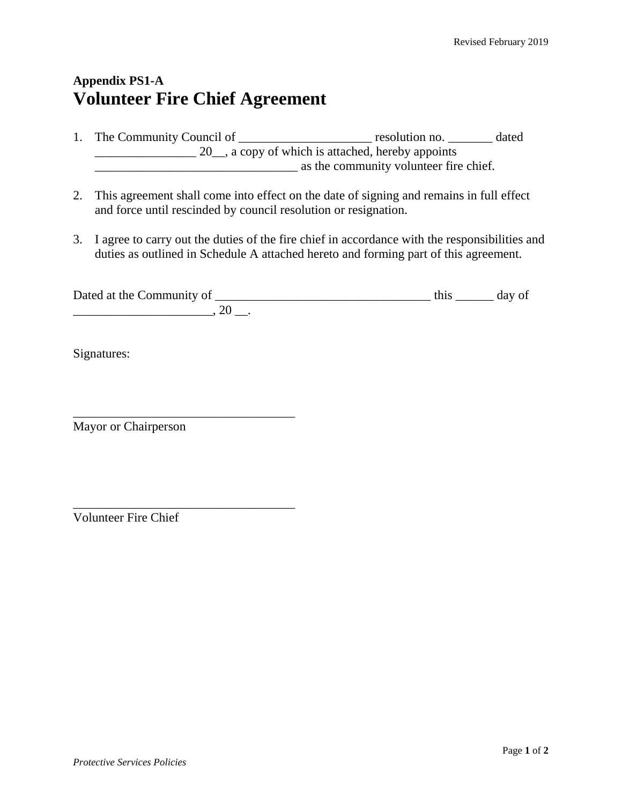## **Appendix PS1-A Volunteer Fire Chief Agreement**

- 1. The Community Council of \_\_\_\_\_\_\_\_\_\_\_\_\_\_\_\_\_\_\_\_\_\_\_\_ resolution no. \_\_\_\_\_\_\_\_ dated \_\_\_\_\_\_\_\_\_\_\_\_\_\_\_\_ 20\_\_, a copy of which is attached, hereby appoints \_\_\_\_\_\_\_\_\_\_\_\_\_\_\_\_\_\_\_\_\_\_\_\_\_\_\_\_\_\_\_\_ as the community volunteer fire chief.
- 2. This agreement shall come into effect on the date of signing and remains in full effect and force until rescinded by council resolution or resignation.
- 3. I agree to carry out the duties of the fire chief in accordance with the responsibilities and duties as outlined in Schedule A attached hereto and forming part of this agreement.

| Dated at the Community of |  | day o* |
|---------------------------|--|--------|
|                           |  |        |

Signatures:

Mayor or Chairperson

\_\_\_\_\_\_\_\_\_\_\_\_\_\_\_\_\_\_\_\_\_\_\_\_\_\_\_\_\_\_\_\_\_\_\_

\_\_\_\_\_\_\_\_\_\_\_\_\_\_\_\_\_\_\_\_\_\_\_\_\_\_\_\_\_\_\_\_\_\_\_

Volunteer Fire Chief